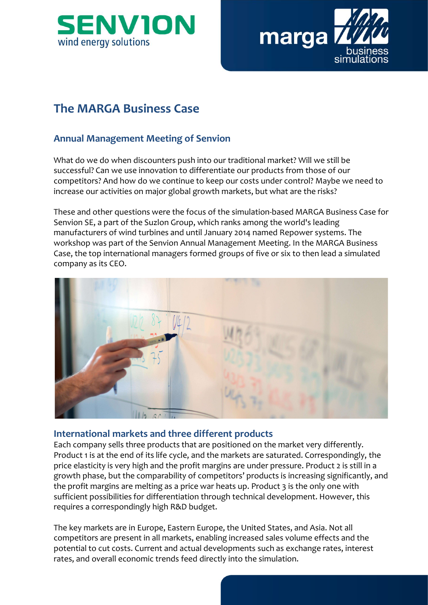



# The MARGA Business Case

# Annual Management Meeting of Senvion

What do we do when discounters push into our traditional market? Will we still be successful? Can we use innovation to differentiate our products from those of our competitors? And how do we continue to keep our costs under control? Maybe we need to increase our activities on major global growth markets, but what are the risks?

These and other questions were the focus of the simulation-based MARGA Business Case for **SET ALCT SET ASSES AND MUNITED SET ASSESS AND SURFACES SET AND MUNITED SET AND MUNITED SET AND MUNITED SET AND MUNITED SURFACE SURFACE SURFACE SURFACE SURFACE SURFACE SURFACE SURFACE SURFACE SURFACE SURFACE SURFACE SURFAC** manufacturers of wind turbines and until January 2014 named Repower systems. The **The MARGA Business Case**<br> **Annual Management Meeting of Senvion**<br>
What do we do when discounters push into our traditional market? Will we still be<br>
successful? Can we use innovation to differentiate our products from tho Case, the top international managers formed groups of five or six to then lead a simulated company as its CEO.



### International markets and three different products

Each company sells three products that are positioned on the market very differently. Product 1 is at the end of its life cycle, and the markets are saturated. Correspondingly, the price elasticity is very high and the profit margins are under pressure. Product 2 is still in a growth phase, but the comparability of competitors' products is increasing significantly, and the profit margins are melting as a price war heats up. Product 3 is the only one with sufficient possibilities for differentiation through technical development. However, this requires a correspondingly high R&D budget.

The key markets are in Europe, Eastern Europe, the United States, and Asia. Not all competitors are present in all markets, enabling increased sales volume effects and the potential to cut costs. Current and actual developments such as exchange rates, interest rates, and overall economic trends feed directly into the simulation.